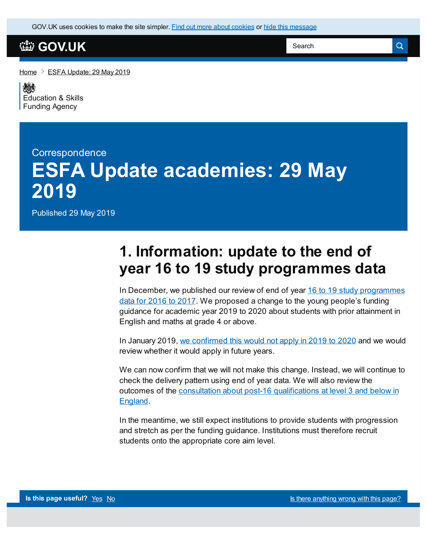GOV.UK uses [cookies](https://www.gov.uk/help/cookies) to make the site simpler. Find out more about cookies or hide this [message](#page-0-0)

## **[GOV.UK](https://www.gov.uk)**

[Home](https://www.gov.uk/)  $\geq$  ESFA [Update:](https://www.gov.uk/government/publications/esfa-update-29-may-2019) 29 May 2019

<span id="page-0-0"></span>《感》 [Education](https://www.gov.uk/government/organisations/education-and-skills-funding-agency) & Skills Funding Agency

# **Correspondence ESFA Update academies: 29 May 2019**

Published 29 May 2019

## **1. Information: update to the end of year 16 to 19 study programmes data**

In December, we published our review of end of year 16 to 19 study [programmes](https://www.gov.uk/guidance/review-of-end-of-year-16-to-19-study-programmes-data-for-2016-to-2017) data for 2016 to 2017. We proposed a change to the young people's funding guidance for academic year 2019 to 2020 about students with prior attainment in English and maths at grade 4 or above.

In January 2019, we [confirmed](https://www.gov.uk/government/publications/esfa-update-23-january-2019/esfa-update-further-education-23-january-2019) this would not apply in 2019 to 2020 and we would review whether it would apply in future years.

We can now confirm that we will not make this change. Instead, we will continue to check the delivery pattern using end of year data. We will also review the outcomes of the consultation about post-16 [qualifications](https://www.gov.uk/government/consultations/review-of-post-16-qualifications-at-level-3-and-below-in-england) at level 3 and below in England.

In the meantime, we still expect institutions to provide students with progression and stretch as per the funding guidance. Institutions must therefore recruit students onto the appropriate core aim level.

Search

 $\alpha$